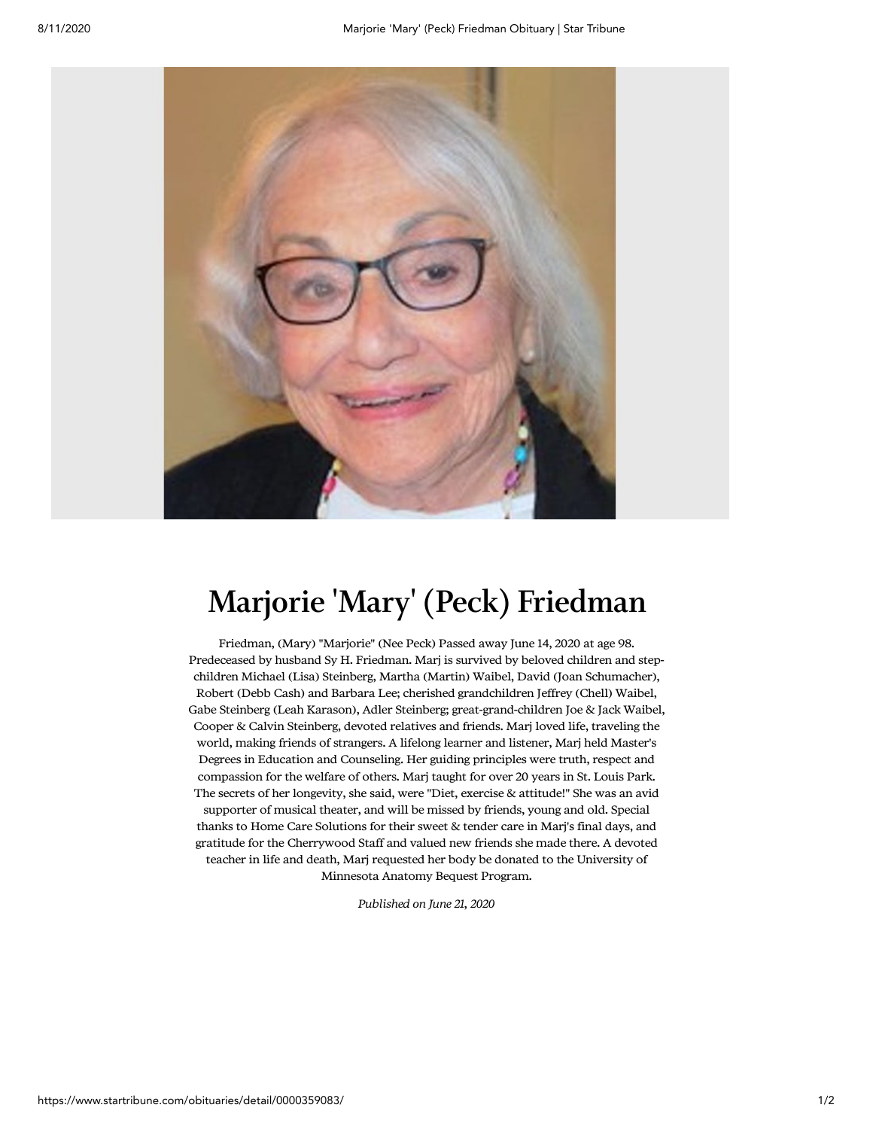

## Marjorie 'Mary' (Peck) Friedman

Friedman, (Mary) "Marjorie" (Nee Peck) Passed away June 14, 2020 at age 98. Predeceased by husband Sy H. Friedman. Marj is survived by beloved children and stepchildren Michael (Lisa) Steinberg, Martha (Martin) Waibel, David (Joan Schumacher), Robert (Debb Cash) and Barbara Lee; cherished grandchildren Jeffrey (Chell) Waibel, Gabe Steinberg (Leah Karason), Adler Steinberg; great-grand-children Joe & Jack Waibel, Cooper & Calvin Steinberg, devoted relatives and friends. Marj loved life, traveling the world, making friends of strangers. A lifelong learner and listener, Marj held Master's Degrees in Education and Counseling. Her guiding principles were truth, respect and compassion for the welfare of others. Marj taught for over 20 years in St. Louis Park. The secrets of her longevity, she said, were "Diet, exercise & attitude!" She was an avid supporter of musical theater, and will be missed by friends, young and old. Special thanks to Home Care Solutions for their sweet & tender care in Marj's final days, and gratitude for the Cherrywood Staff and valued new friends she made there. A devoted teacher in life and death, Marj requested her body be donated to the University of Minnesota Anatomy Bequest Program.

Published on June 21, 2020